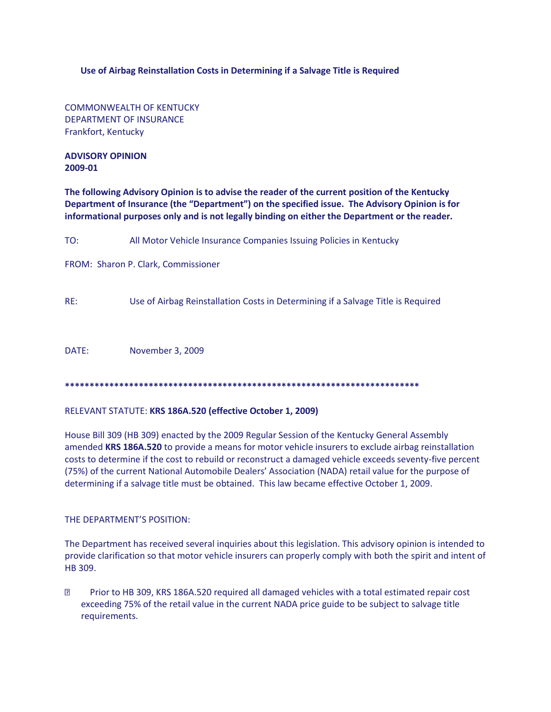## **Use of Airbag Reinstallation Costs in Determining if a Salvage Title is Required**

COMMONWEALTH OF KENTUCKY DEPARTMENT OF INSURANCE Frankfort, Kentucky

**ADVISORY OPINION 2009-01**

**The following Advisory Opinion is to advise the reader of the current position of the Kentucky Department of Insurance (the "Department") on the specified issue. The Advisory Opinion is for informational purposes only and is not legally binding on either the Department or the reader.**

TO: All Motor Vehicle Insurance Companies Issuing Policies in Kentucky

FROM: Sharon P. Clark, Commissioner

RE: Use of Airbag Reinstallation Costs in Determining if a Salvage Title is Required

DATE: November 3, 2009

**\*\*\*\*\*\*\*\*\*\*\*\*\*\*\*\*\*\*\*\*\*\*\*\*\*\*\*\*\*\*\*\*\*\*\*\*\*\*\*\*\*\*\*\*\*\*\*\*\*\*\*\*\*\*\*\*\*\*\*\*\*\*\*\*\*\*\*\*\*\*\*\***

## RELEVANT STATUTE: **KRS 186A.520 (effective October 1, 2009)**

House Bill 309 (HB 309) enacted by the 2009 Regular Session of the Kentucky General Assembly amended **KRS 186A.520** to provide a means for motor vehicle insurers to exclude airbag reinstallation costs to determine if the cost to rebuild or reconstruct a damaged vehicle exceeds seventy-five percent (75%) of the current National Automobile Dealers' Association (NADA) retail value for the purpose of determining if a salvage title must be obtained. This law became effective October 1, 2009.

## THE DEPARTMENT'S POSITION:

The Department has received several inquiries about this legislation. This advisory opinion is intended to provide clarification so that motor vehicle insurers can properly comply with both the spirit and intent of HB 309.

**2** Prior to HB 309, KRS 186A.520 required all damaged vehicles with a total estimated repair cost exceeding 75% of the retail value in the current NADA price guide to be subject to salvage title requirements.